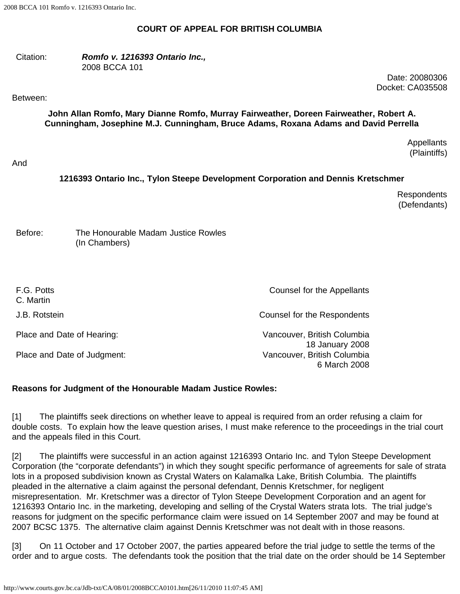## **COURT OF APPEAL FOR BRITISH COLUMBIA**

#### Citation: *Romfo v. 1216393 Ontario Inc.,* 2008 BCCA 101

Date: 20080306 Docket: CA035508

#### Between:

**John Allan Romfo, Mary Dianne Romfo, Murray Fairweather, Doreen Fairweather, Robert A. Cunningham, Josephine M.J. Cunningham, Bruce Adams, Roxana Adams and David Perrella**

> **Appellants** (Plaintiffs)

## And

# **1216393 Ontario Inc., Tylon Steepe Development Corporation and Dennis Kretschmer**

**Respondents** (Defendants)

Before: The Honourable Madam Justice Rowles (In Chambers)

| F.G. Potts<br>C. Martin     | Counsel for the Appellants                     |
|-----------------------------|------------------------------------------------|
| J.B. Rotstein               | Counsel for the Respondents                    |
| Place and Date of Hearing:  | Vancouver, British Columbia<br>18 January 2008 |
| Place and Date of Judgment: | Vancouver, British Columbia<br>6 March 2008    |

## **Reasons for Judgment of the Honourable Madam Justice Rowles:**

[1] The plaintiffs seek directions on whether leave to appeal is required from an order refusing a claim for double costs. To explain how the leave question arises, I must make reference to the proceedings in the trial court and the appeals filed in this Court.

[2] The plaintiffs were successful in an action against 1216393 Ontario Inc. and Tylon Steepe Development Corporation (the "corporate defendants") in which they sought specific performance of agreements for sale of strata lots in a proposed subdivision known as Crystal Waters on Kalamalka Lake, British Columbia. The plaintiffs pleaded in the alternative a claim against the personal defendant, Dennis Kretschmer, for negligent misrepresentation. Mr. Kretschmer was a director of Tylon Steepe Development Corporation and an agent for 1216393 Ontario Inc. in the marketing, developing and selling of the Crystal Waters strata lots. The trial judge's reasons for judgment on the specific performance claim were issued on 14 September 2007 and may be found at 2007 BCSC 1375. The alternative claim against Dennis Kretschmer was not dealt with in those reasons.

[3] On 11 October and 17 October 2007, the parties appeared before the trial judge to settle the terms of the order and to argue costs. The defendants took the position that the trial date on the order should be 14 September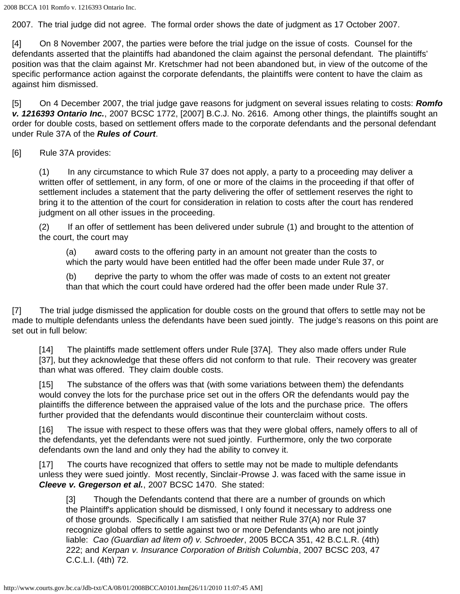2007. The trial judge did not agree. The formal order shows the date of judgment as 17 October 2007.

[4] On 8 November 2007, the parties were before the trial judge on the issue of costs. Counsel for the defendants asserted that the plaintiffs had abandoned the claim against the personal defendant. The plaintiffs' position was that the claim against Mr. Kretschmer had not been abandoned but, in view of the outcome of the specific performance action against the corporate defendants, the plaintiffs were content to have the claim as against him dismissed.

[5] On 4 December 2007, the trial judge gave reasons for judgment on several issues relating to costs: *Romfo v. 1216393 Ontario Inc.*, 2007 BCSC 1772, [2007] B.C.J. No. 2616. Among other things, the plaintiffs sought an order for double costs, based on settlement offers made to the corporate defendants and the personal defendant under Rule 37A of the *Rules of Court*.

[6] Rule 37A provides:

(1) In any circumstance to which Rule 37 does not apply, a party to a proceeding may deliver a written offer of settlement, in any form, of one or more of the claims in the proceeding if that offer of settlement includes a statement that the party delivering the offer of settlement reserves the right to bring it to the attention of the court for consideration in relation to costs after the court has rendered judgment on all other issues in the proceeding.

(2) If an offer of settlement has been delivered under subrule (1) and brought to the attention of the court, the court may

(a) award costs to the offering party in an amount not greater than the costs to which the party would have been entitled had the offer been made under Rule 37, or

(b) deprive the party to whom the offer was made of costs to an extent not greater than that which the court could have ordered had the offer been made under Rule 37.

[7] The trial judge dismissed the application for double costs on the ground that offers to settle may not be made to multiple defendants unless the defendants have been sued jointly. The judge's reasons on this point are set out in full below:

[14] The plaintiffs made settlement offers under Rule [37A]. They also made offers under Rule [37], but they acknowledge that these offers did not conform to that rule. Their recovery was greater than what was offered. They claim double costs.

[15] The substance of the offers was that (with some variations between them) the defendants would convey the lots for the purchase price set out in the offers OR the defendants would pay the plaintiffs the difference between the appraised value of the lots and the purchase price. The offers further provided that the defendants would discontinue their counterclaim without costs.

[16] The issue with respect to these offers was that they were global offers, namely offers to all of the defendants, yet the defendants were not sued jointly. Furthermore, only the two corporate defendants own the land and only they had the ability to convey it.

[17] The courts have recognized that offers to settle may not be made to multiple defendants unless they were sued jointly. Most recently, Sinclair-Prowse J. was faced with the same issue in *Cleeve v. Gregerson et al.*, 2007 BCSC 1470. She stated:

[3] Though the Defendants contend that there are a number of grounds on which the Plaintiff's application should be dismissed, I only found it necessary to address one of those grounds. Specifically I am satisfied that neither Rule 37(A) nor Rule 37 recognize global offers to settle against two or more Defendants who are not jointly liable: *Cao (Guardian ad litem of) v. Schroeder*, 2005 BCCA 351, 42 B.C.L.R. (4th) 222; and *Kerpan v. Insurance Corporation of British Columbia*, 2007 BCSC 203, 47 C.C.L.I. (4th) 72.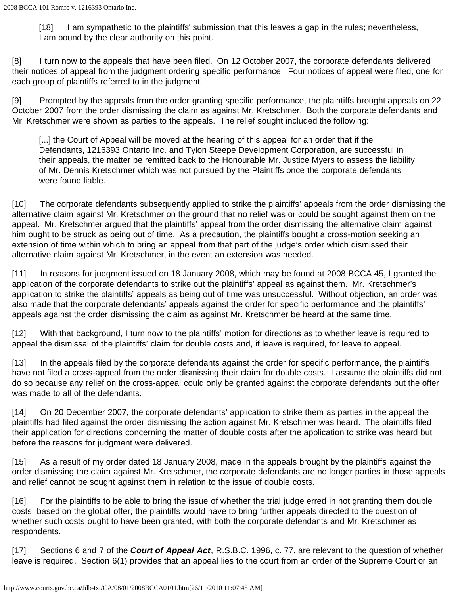[18] I am sympathetic to the plaintiffs' submission that this leaves a gap in the rules; nevertheless, I am bound by the clear authority on this point.

[8] I turn now to the appeals that have been filed. On 12 October 2007, the corporate defendants delivered their notices of appeal from the judgment ordering specific performance. Four notices of appeal were filed, one for each group of plaintiffs referred to in the judgment.

[9] Prompted by the appeals from the order granting specific performance, the plaintiffs brought appeals on 22 October 2007 from the order dismissing the claim as against Mr. Kretschmer. Both the corporate defendants and Mr. Kretschmer were shown as parties to the appeals. The relief sought included the following:

[...] the Court of Appeal will be moved at the hearing of this appeal for an order that if the Defendants, 1216393 Ontario Inc. and Tylon Steepe Development Corporation, are successful in their appeals, the matter be remitted back to the Honourable Mr. Justice Myers to assess the liability of Mr. Dennis Kretschmer which was not pursued by the Plaintiffs once the corporate defendants were found liable.

[10] The corporate defendants subsequently applied to strike the plaintiffs' appeals from the order dismissing the alternative claim against Mr. Kretschmer on the ground that no relief was or could be sought against them on the appeal. Mr. Kretschmer argued that the plaintiffs' appeal from the order dismissing the alternative claim against him ought to be struck as being out of time. As a precaution, the plaintiffs bought a cross-motion seeking an extension of time within which to bring an appeal from that part of the judge's order which dismissed their alternative claim against Mr. Kretschmer, in the event an extension was needed.

[11] In reasons for judgment issued on 18 January 2008, which may be found at 2008 BCCA 45, I granted the application of the corporate defendants to strike out the plaintiffs' appeal as against them. Mr. Kretschmer's application to strike the plaintiffs' appeals as being out of time was unsuccessful. Without objection, an order was also made that the corporate defendants' appeals against the order for specific performance and the plaintiffs' appeals against the order dismissing the claim as against Mr. Kretschmer be heard at the same time.

[12] With that background, I turn now to the plaintiffs' motion for directions as to whether leave is required to appeal the dismissal of the plaintiffs' claim for double costs and, if leave is required, for leave to appeal.

[13] In the appeals filed by the corporate defendants against the order for specific performance, the plaintiffs have not filed a cross-appeal from the order dismissing their claim for double costs. I assume the plaintiffs did not do so because any relief on the cross-appeal could only be granted against the corporate defendants but the offer was made to all of the defendants.

[14] On 20 December 2007, the corporate defendants' application to strike them as parties in the appeal the plaintiffs had filed against the order dismissing the action against Mr. Kretschmer was heard. The plaintiffs filed their application for directions concerning the matter of double costs after the application to strike was heard but before the reasons for judgment were delivered.

[15] As a result of my order dated 18 January 2008, made in the appeals brought by the plaintiffs against the order dismissing the claim against Mr. Kretschmer, the corporate defendants are no longer parties in those appeals and relief cannot be sought against them in relation to the issue of double costs.

[16] For the plaintiffs to be able to bring the issue of whether the trial judge erred in not granting them double costs, based on the global offer, the plaintiffs would have to bring further appeals directed to the question of whether such costs ought to have been granted, with both the corporate defendants and Mr. Kretschmer as respondents.

[17] Sections 6 and 7 of the *Court of Appeal Act*, R.S.B.C. 1996, c. 77, are relevant to the question of whether leave is required. Section 6(1) provides that an appeal lies to the court from an order of the Supreme Court or an